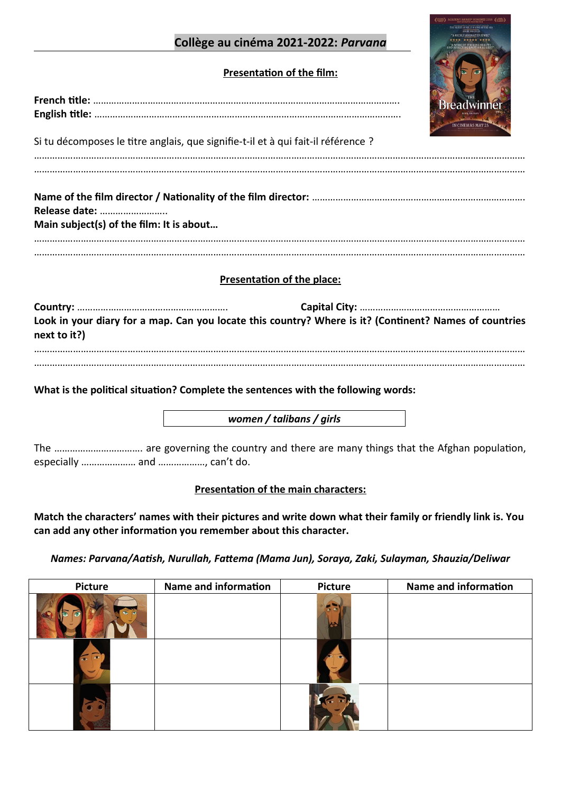# **Collège au cinéma 2021-2022:** *Parvana*

# **Presentation of the film:**

| Si tu décomposes le titre anglais, que signifie-t-il et à qui fait-il référence ? |  |
|-----------------------------------------------------------------------------------|--|
|                                                                                   |  |
| Release date:<br>Main subject(s) of the film: It is about                         |  |
|                                                                                   |  |

# **Presentation of the place:**

| Look in your diary for a map. Can you locate this country? Where is it? (Continent? Names of countries |  |
|--------------------------------------------------------------------------------------------------------|--|
| next to it?)                                                                                           |  |
|                                                                                                        |  |

………………………………………………………………………………………………………………………………………………………………………

**What is the political situation? Complete the sentences with the following words:**

*women / talibans / girls*

The ……………………………. are governing the country and there are many things that the Afghan population, especially ………………… and ………………, can't do.

#### **Presentation of the main characters:**

**Match the characters' names with their pictures and write down what their family or friendly link is. You can add any other information you remember about this character.**

*Names: Parvana/Aatish, Nurullah, Fattema (Mama Jun), Soraya, Zaki, Sulayman, Shauzia/Deliwar*

| Picture | Name and information | <b>Picture</b> | Name and information |
|---------|----------------------|----------------|----------------------|
|         |                      |                |                      |
|         |                      |                |                      |
|         |                      |                |                      |